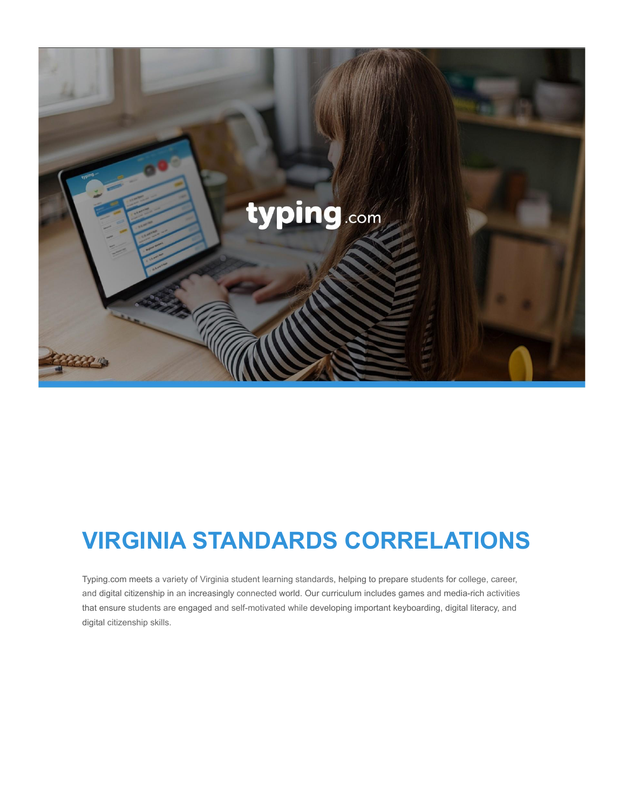

## **VIRGINIA STANDARDS CORRELATIONS**

Typing.com meets a variety of Virginia student learning standards, helping to prepare students for college, career, and digital citizenship in an increasingly connected world. Our curriculum includes games and media-rich activities that ensure students are engaged and self-motivated while developing important keyboarding, digital literacy, and digital citizenship skills.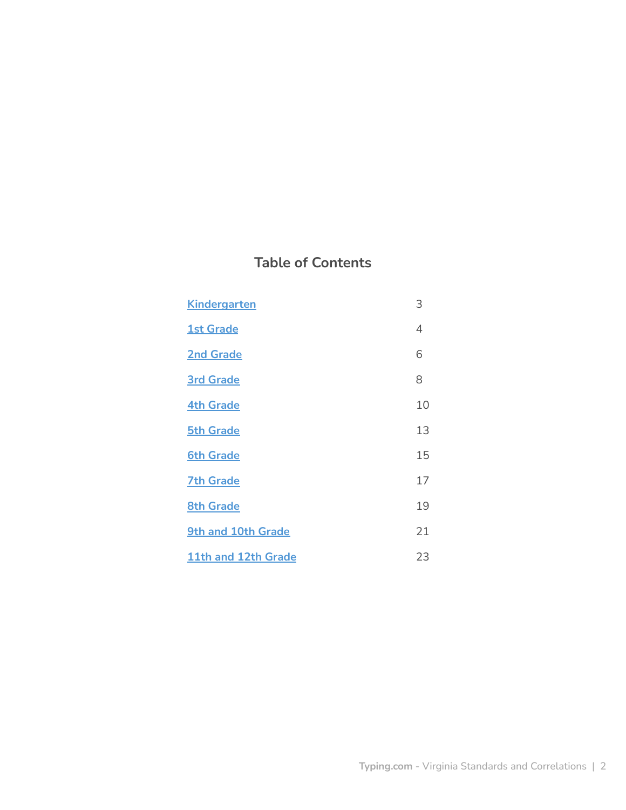## **Table of Contents**

| <b>Kindergarten</b> | 3  |
|---------------------|----|
| <b>1st Grade</b>    | 4  |
| <b>2nd Grade</b>    | 6  |
| <b>3rd Grade</b>    | 8  |
| <b>4th Grade</b>    | 10 |
| <b>5th Grade</b>    | 13 |
| <b>6th Grade</b>    | 15 |
| <b>7th Grade</b>    | 17 |
| <b>8th Grade</b>    | 19 |
| 9th and 10th Grade  | 21 |
| 11th and 12th Grade | 23 |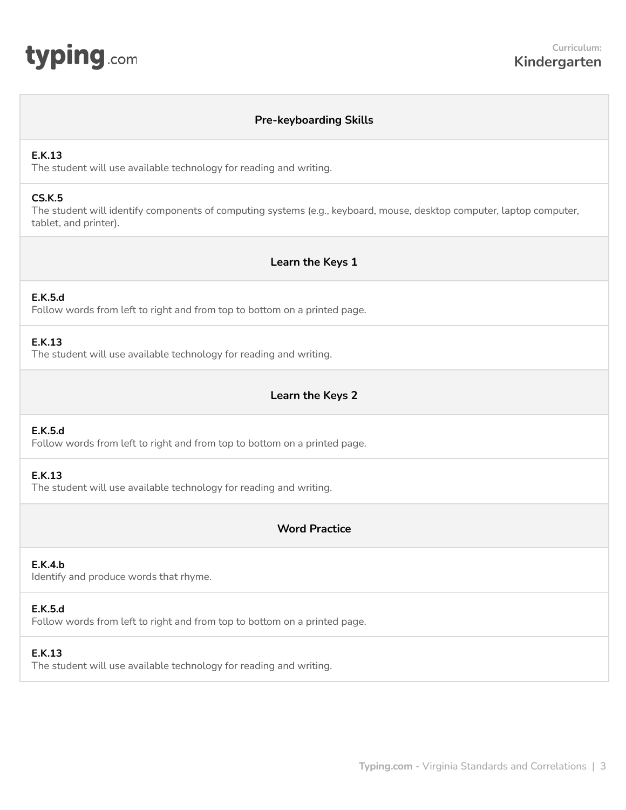# <span id="page-2-0"></span>**typing**.com

## **Pre-keyboarding Skills**

#### **E.K.13**

The student will use available technology for reading and writing.

#### **CS.K.5**

The student will identify components of computing systems (e.g., keyboard, mouse, desktop computer, laptop computer, tablet, and printer).

## **Learn the Keys 1**

## **E.K.5.d**

Follow words from left to right and from top to bottom on a printed page.

## **E.K.13**

The student will use available technology for reading and writing.

## **Learn the Keys 2**

#### **E.K.5.d**

Follow words from left to right and from top to bottom on a printed page.

#### **E.K.13**

The student will use available technology for reading and writing.

## **Word Practice**

#### **E.K.4.b**

Identify and produce words that rhyme.

#### **E.K.5.d**

Follow words from left to right and from top to bottom on a printed page.

## **E.K.13**

The student will use available technology for reading and writing.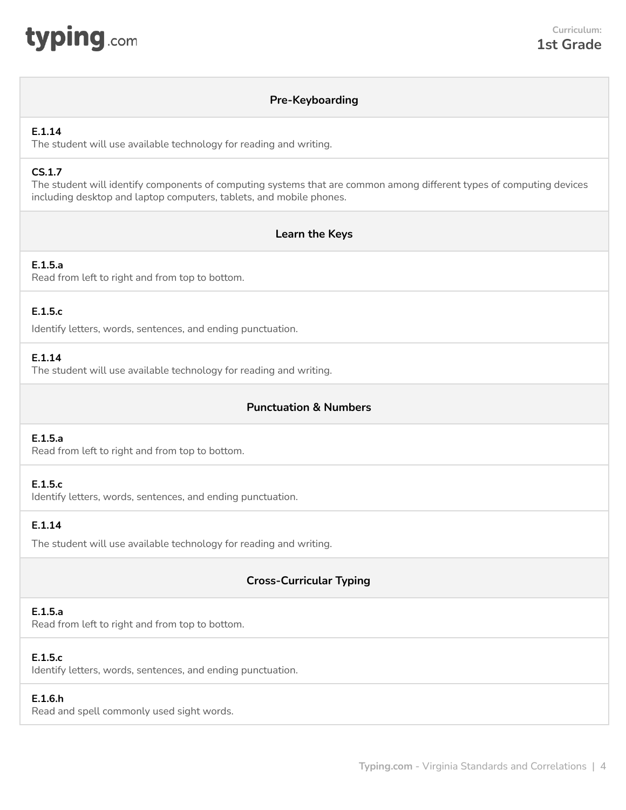<span id="page-3-0"></span>

## **Pre-Keyboarding**

## **E.1.14**

The student will use available technology for reading and writing.

## **CS.1.7**

The student will identify components of computing systems that are common among different types of computing devices including desktop and laptop computers, tablets, and mobile phones.

## **Learn the Keys**

## **E.1.5.a**

Read from left to right and from top to bottom.

## **E.1.5.c**

Identify letters, words, sentences, and ending punctuation.

## **E.1.14**

The student will use available technology for reading and writing.

## **Punctuation & Numbers**

## **E.1.5.a**

Read from left to right and from top to bottom.

## **E.1.5.c**

Identify letters, words, sentences, and ending punctuation.

## **E.1.14**

The student will use available technology for reading and writing.

## **Cross-Curricular Typing**

## **E.1.5.a**

Read from left to right and from top to bottom.

## **E.1.5.c**

Identify letters, words, sentences, and ending punctuation.

## **E.1.6.h**

Read and spell commonly used sight words.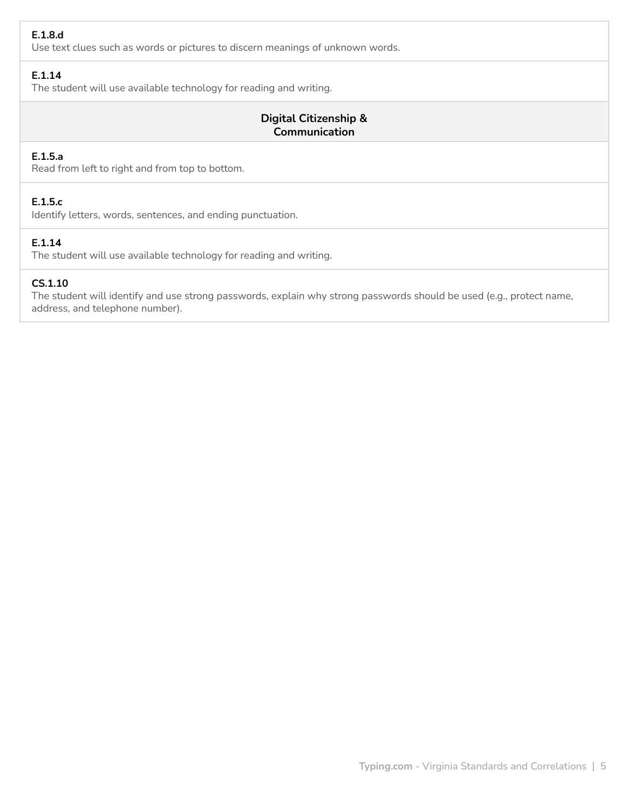## **E.1.8.d**

Use text clues such as words or pictures to discern meanings of unknown words.

## **E.1.14**

The student will use available technology for reading and writing.

## **Digital Citizenship & Communication**

## **E.1.5.a**

Read from left to right and from top to bottom.

## **E.1.5.c**

Identify letters, words, sentences, and ending punctuation.

## **E.1.14**

The student will use available technology for reading and writing.

#### **CS.1.10**

The student will identify and use strong passwords, explain why strong passwords should be used (e.g., protect name, address, and telephone number).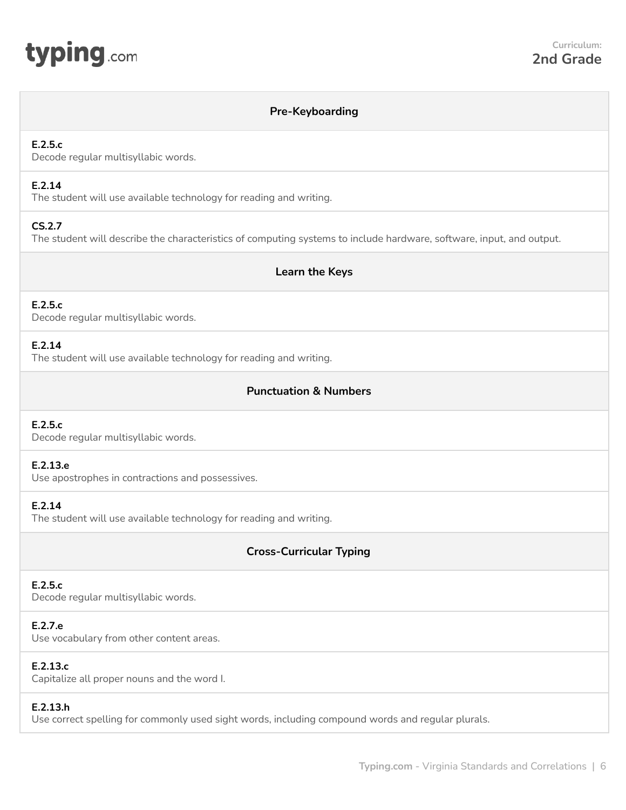<span id="page-5-0"></span>

#### **Pre-Keyboarding**

#### **E.2.5.c**

Decode regular multisyllabic words.

## **E.2.14**

The student will use available technology for reading and writing.

## **CS.2.7**

The student will describe the characteristics of computing systems to include hardware, software, input, and output.

#### **Learn the Keys**

## **E.2.5.c**

Decode regular multisyllabic words.

#### **E.2.14**

The student will use available technology for reading and writing.

## **Punctuation & Numbers**

#### **E.2.5.c**

Decode regular multisyllabic words.

#### **E.2.13.e**

Use apostrophes in contractions and possessives.

## **E.2.14**

The student will use available technology for reading and writing.

## **Cross-Curricular Typing**

#### **E.2.5.c**

Decode regular multisyllabic words.

#### **E.2.7.e**

Use vocabulary from other content areas.

#### **E.2.13.c**

Capitalize all proper nouns and the word I.

#### **E.2.13.h**

Use correct spelling for commonly used sight words, including compound words and regular plurals.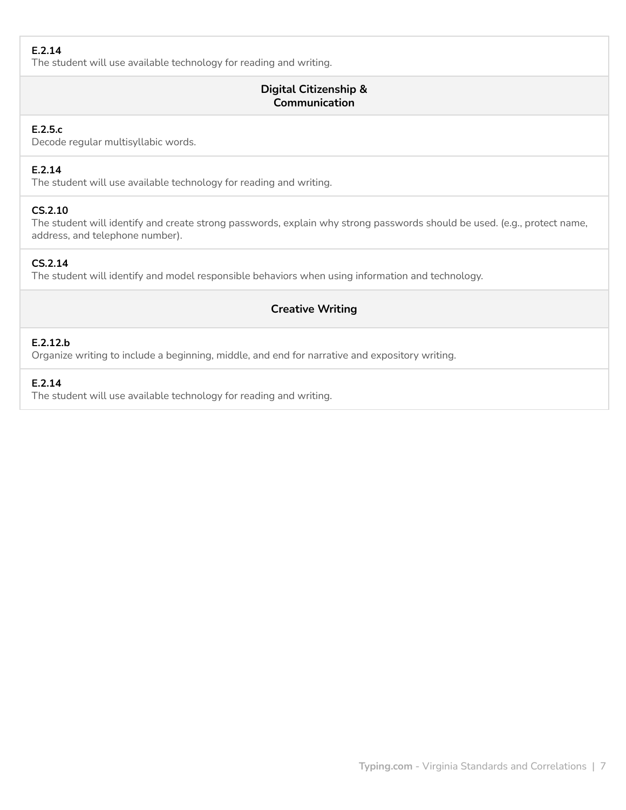## **E.2.14**

The student will use available technology for reading and writing.

## **Digital Citizenship & Communication**

## **E.2.5.c**

Decode regular multisyllabic words.

## **E.2.14**

The student will use available technology for reading and writing.

## **CS.2.10**

The student will identify and create strong passwords, explain why strong passwords should be used. (e.g., protect name, address, and telephone number).

## **CS.2.14**

The student will identify and model responsible behaviors when using information and technology.

## **Creative Writing**

## **E.2.12.b**

Organize writing to include a beginning, middle, and end for narrative and expository writing.

## **E.2.14**

The student will use available technology for reading and writing.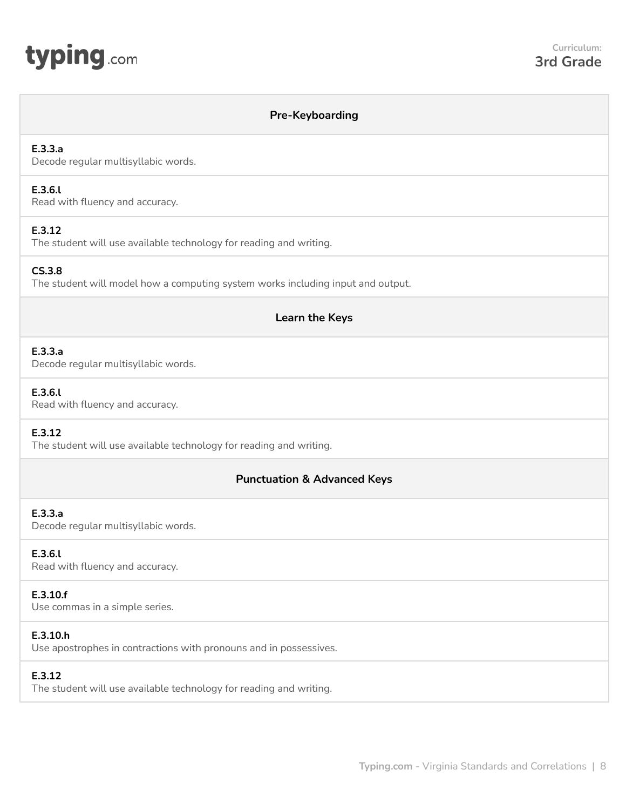# <span id="page-7-0"></span>typing.com

## **Pre-Keyboarding**

## **E.3.3.a**

Decode regular multisyllabic words.

#### **E.3.6.l**

Read with fluency and accuracy.

## **E.3.12**

The student will use available technology for reading and writing.

#### **CS.3.8**

The student will model how a computing system works including input and output.

## **Learn the Keys**

## **E.3.3.a**

Decode regular multisyllabic words.

#### **E.3.6.l**

Read with fluency and accuracy.

## **E.3.12**

The student will use available technology for reading and writing.

## **Punctuation & Advanced Keys**

#### **E.3.3.a**

Decode regular multisyllabic words.

## **E.3.6.l**

Read with fluency and accuracy.

#### **E.3.10.f**

Use commas in a simple series.

## **E.3.10.h**

Use apostrophes in contractions with pronouns and in possessives.

## **E.3.12**

The student will use available technology for reading and writing.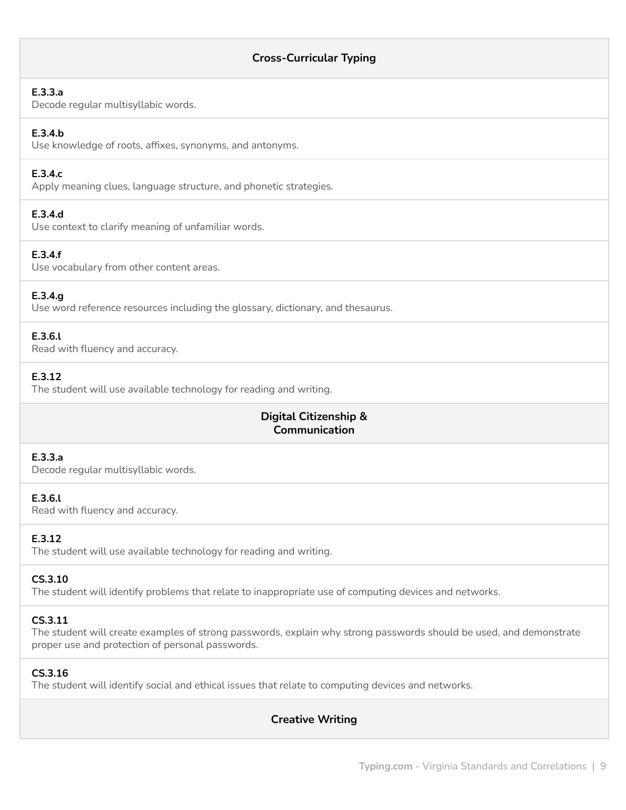## **E.3.3.a**

Decode regular multisyllabic words.

## **E.3.4.b**

Use knowledge of roots, affixes, synonyms, and antonyms.

## **E.3.4.c**

Apply meaning clues, language structure, and phonetic strategies.

## **E.3.4.d**

Use context to clarify meaning of unfamiliar words.

## **E.3.4.f**

Use vocabulary from other content areas.

## **E.3.4.g**

Use word reference resources including the glossary, dictionary, and thesaurus.

## **E.3.6.l**

Read with fluency and accuracy.

## **E.3.12**

The student will use available technology for reading and writing.

## **Digital Citizenship & Communication**

## **E.3.3.a**

Decode regular multisyllabic words.

#### **E.3.6.l**

Read with fluency and accuracy.

## **E.3.12**

The student will use available technology for reading and writing.

## **CS.3.10**

The student will identify problems that relate to inappropriate use of computing devices and networks.

## **CS.3.11**

The student will create examples of strong passwords, explain why strong passwords should be used, and demonstrate proper use and protection of personal passwords.

## **CS.3.16**

The student will identify social and ethical issues that relate to computing devices and networks.

**Creative Writing**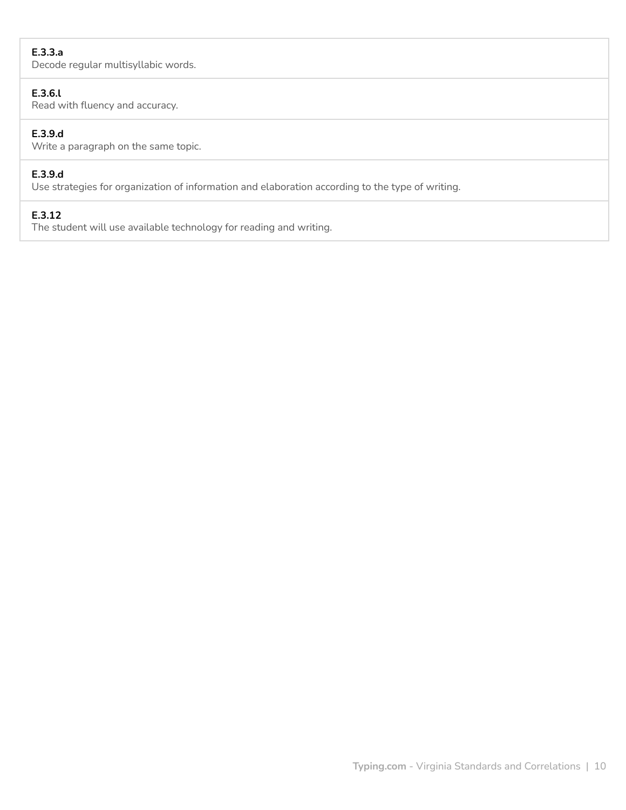## **E.3.3.a**

Decode regular multisyllabic words.

#### **E.3.6.l**

Read with fluency and accuracy.

## **E.3.9.d**

Write a paragraph on the same topic.

## **E.3.9.d**

Use strategies for organization of information and elaboration according to the type of writing.

## **E.3.12**

The student will use available technology for reading and writing.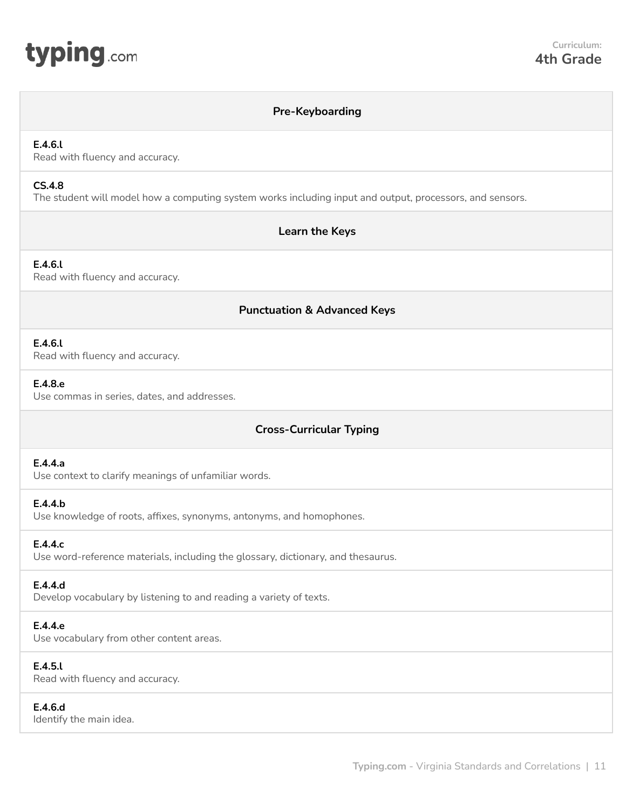<span id="page-10-0"></span>

#### **Pre-Keyboarding**

#### **E.4.6.l**

Read with fluency and accuracy.

## **CS.4.8**

The student will model how a computing system works including input and output, processors, and sensors.

## **Learn the Keys**

**E.4.6.l** Read with fluency and accuracy.

## **Punctuation & Advanced Keys**

#### **E.4.6.l**

Read with fluency and accuracy.

#### **E.4.8.e**

Use commas in series, dates, and addresses.

## **Cross-Curricular Typing**

## **E.4.4.a**

Use context to clarify meanings of unfamiliar words.

#### **E.4.4.b**

Use knowledge of roots, affixes, synonyms, antonyms, and homophones.

#### **E.4.4.c**

Use word-reference materials, including the glossary, dictionary, and thesaurus.

#### **E.4.4.d**

Develop vocabulary by listening to and reading a variety of texts.

#### **E.4.4.e**

Use vocabulary from other content areas.

#### **E.4.5.l**

Read with fluency and accuracy.

#### **E.4.6.d**

Identify the main idea.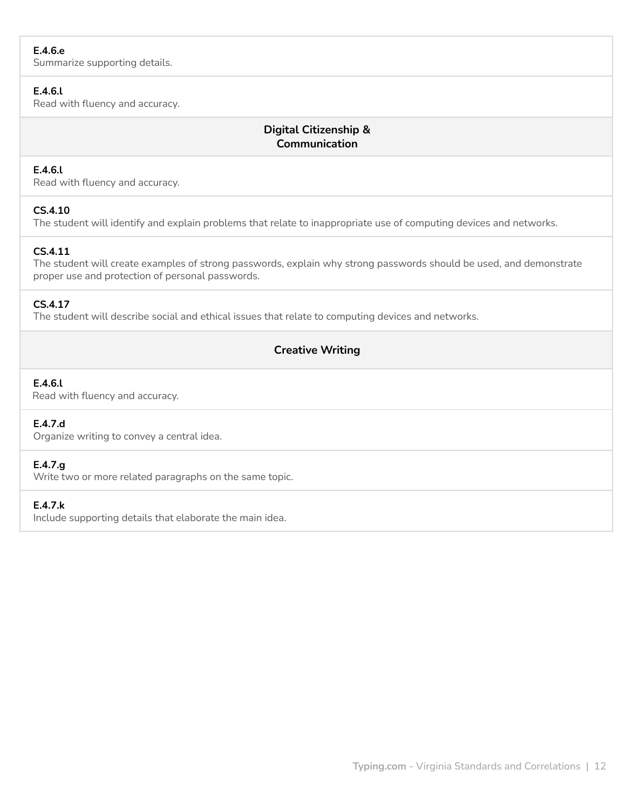## **E.4.6.e**

Summarize supporting details.

#### **E.4.6.l**

Read with fluency and accuracy.

## **Digital Citizenship & Communication**

## **E.4.6.l**

Read with fluency and accuracy.

## **CS.4.10**

The student will identify and explain problems that relate to inappropriate use of computing devices and networks.

## **CS.4.11**

The student will create examples of strong passwords, explain why strong passwords should be used, and demonstrate proper use and protection of personal passwords.

## **CS.4.17**

The student will describe social and ethical issues that relate to computing devices and networks.

## **Creative Writing**

## **E.4.6.l**

Read with fluency and accuracy.

#### **E.4.7.d**

Organize writing to convey a central idea.

#### **E.4.7.g**

Write two or more related paragraphs on the same topic.

#### **E.4.7.k**

Include supporting details that elaborate the main idea.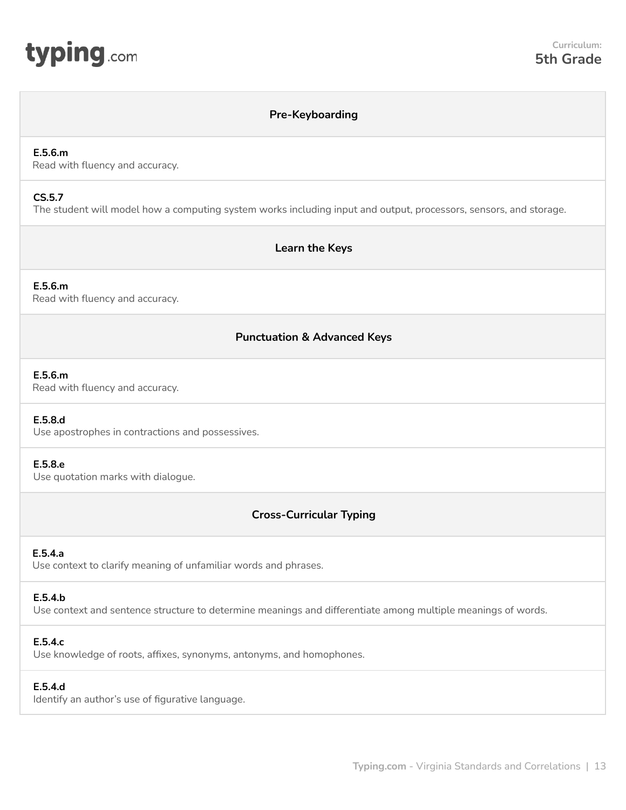<span id="page-12-0"></span>

## **Pre-Keyboarding**

#### **E.5.6.m**

Read with fluency and accuracy.

#### **CS.5.7**

The student will model how a computing system works including input and output, processors, sensors, and storage.

## **Learn the Keys**

## **E.5.6.m**

Read with fluency and accuracy.

## **Punctuation & Advanced Keys**

#### **E.5.6.m**

Read with fluency and accuracy.

#### **E.5.8.d**

Use apostrophes in contractions and possessives.

#### **E.5.8.e**

Use quotation marks with dialogue.

## **Cross-Curricular Typing**

#### **E.5.4.a**

Use context to clarify meaning of unfamiliar words and phrases.

## **E.5.4.b**

Use context and sentence structure to determine meanings and differentiate among multiple meanings of words.

#### **E.5.4.c**

Use knowledge of roots, affixes, synonyms, antonyms, and homophones.

#### **E.5.4.d**

Identify an author's use of figurative language.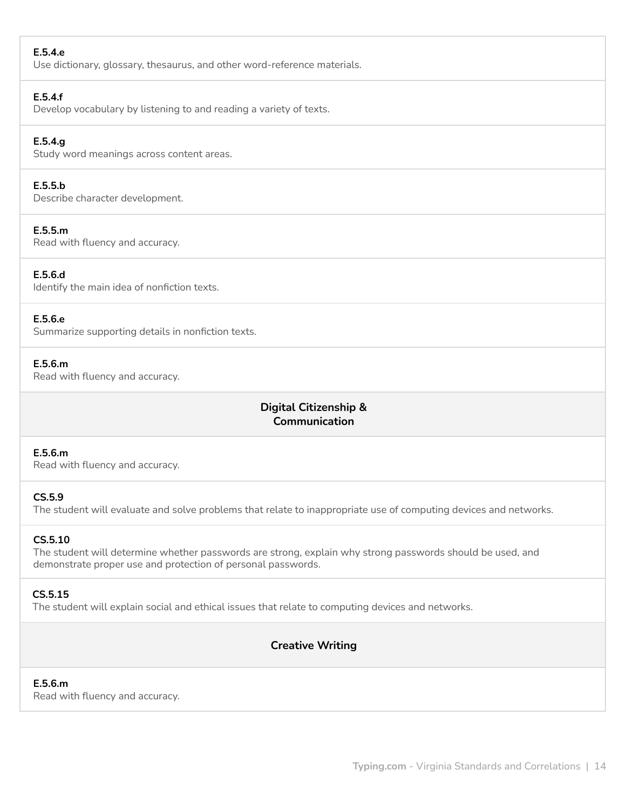## **E.5.4.e**

Use dictionary, glossary, thesaurus, and other word-reference materials.

#### **E.5.4.f**

Develop vocabulary by listening to and reading a variety of texts.

## **E.5.4.g**

Study word meanings across content areas.

## **E.5.5.b**

Describe character development.

#### **E.5.5.m**

Read with fluency and accuracy.

#### **E.5.6.d**

Identify the main idea of nonfiction texts.

## **E.5.6.e**

Summarize supporting details in nonfiction texts.

#### **E.5.6.m**

Read with fluency and accuracy.

## **Digital Citizenship & Communication**

#### **E.5.6.m**

Read with fluency and accuracy.

#### **CS.5.9**

The student will evaluate and solve problems that relate to inappropriate use of computing devices and networks.

#### **CS.5.10**

The student will determine whether passwords are strong, explain why strong passwords should be used, and demonstrate proper use and protection of personal passwords.

#### **CS.5.15**

The student will explain social and ethical issues that relate to computing devices and networks.

## **Creative Writing**

#### **E.5.6.m**

Read with fluency and accuracy.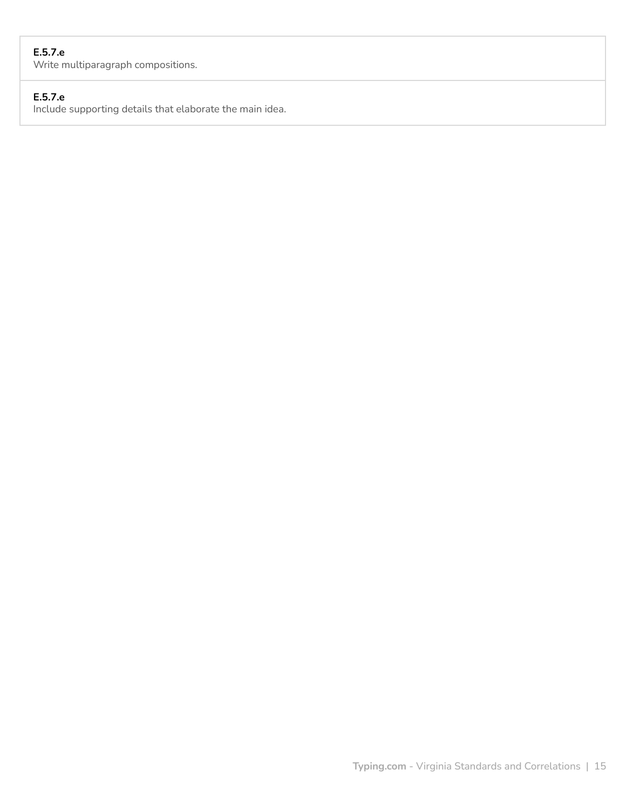## **E.5.7.e**

Write multiparagraph compositions.

## **E.5.7.e**

Include supporting details that elaborate the main idea.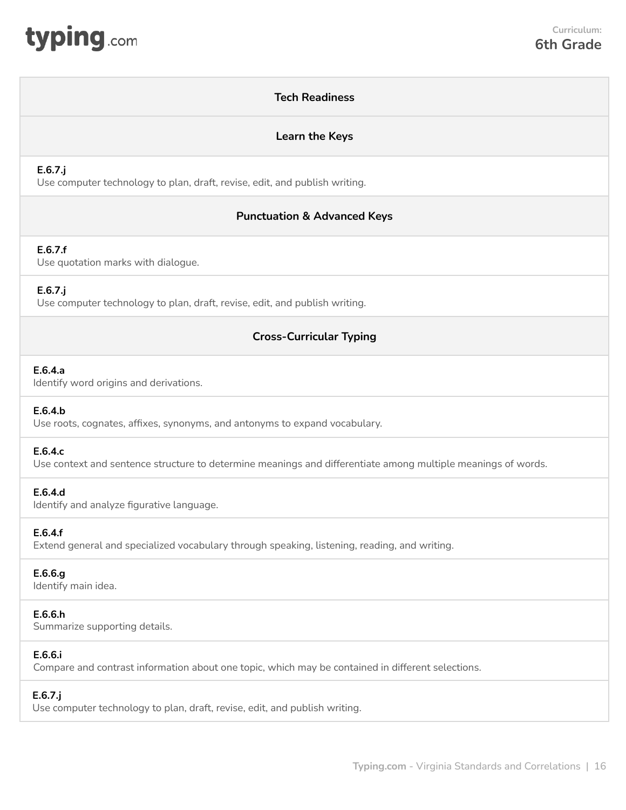<span id="page-15-0"></span>

## **Tech Readiness**

#### **Learn the Keys**

#### **E.6.7.j**

Use computer technology to plan, draft, revise, edit, and publish writing.

## **Punctuation & Advanced Keys**

#### **E.6.7.f**

Use quotation marks with dialogue.

#### **E.6.7.j**

Use computer technology to plan, draft, revise, edit, and publish writing.

## **Cross-Curricular Typing**

#### **E.6.4.a**

Identify word origins and derivations.

#### **E.6.4.b**

Use roots, cognates, affixes, synonyms, and antonyms to expand vocabulary.

#### **E.6.4.c**

Use context and sentence structure to determine meanings and differentiate among multiple meanings of words.

#### **E.6.4.d**

Identify and analyze figurative language.

#### **E.6.4.f**

Extend general and specialized vocabulary through speaking, listening, reading, and writing.

#### **E.6.6.g**

Identify main idea.

## **E.6.6.h**

Summarize supporting details.

#### **E.6.6.i**

Compare and contrast information about one topic, which may be contained in different selections.

#### **E.6.7.j**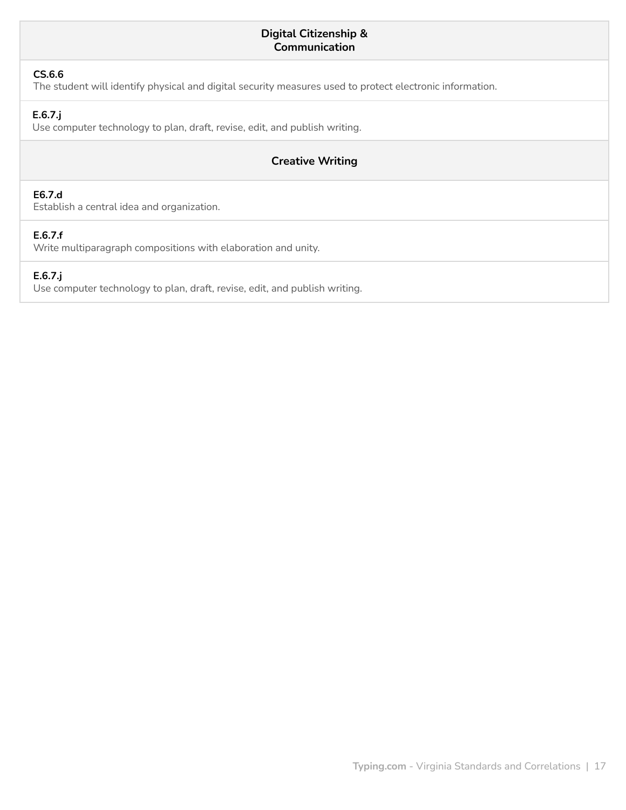## **Digital Citizenship & Communication**

## **CS.6.6**

The student will identify physical and digital security measures used to protect electronic information.

## **E.6.7.j**

Use computer technology to plan, draft, revise, edit, and publish writing.

## **Creative Writing**

## **E6.7.d**

Establish a central idea and organization.

## **E.6.7.f**

Write multiparagraph compositions with elaboration and unity.

## **E.6.7.j**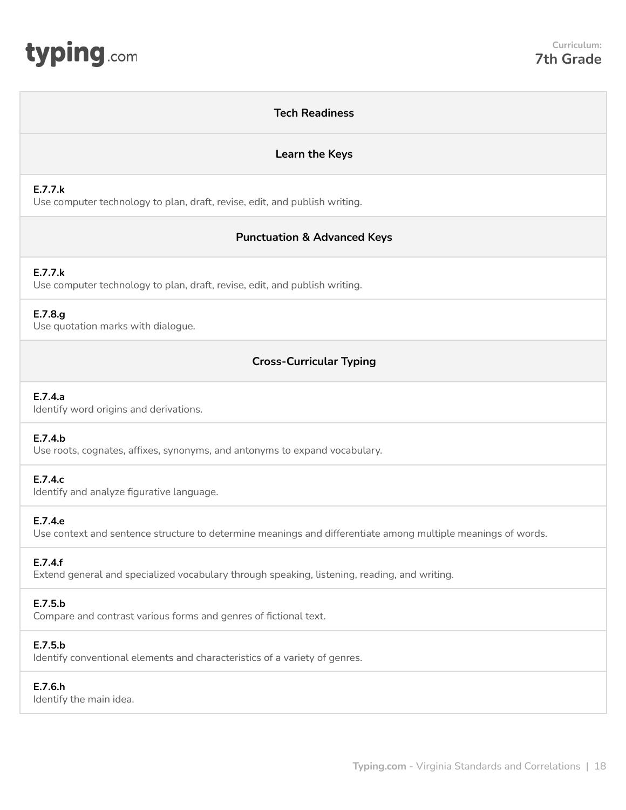<span id="page-17-0"></span>

## **Tech Readiness Learn the Keys E.7.7.k** Use computer technology to plan, draft, revise, edit, and publish writing. **Punctuation & Advanced Keys E.7.7.k** Use computer technology to plan, draft, revise, edit, and publish writing. **E.7.8.g** Use quotation marks with dialogue. **Cross-Curricular Typing E.7.4.a** Identify word origins and derivations. **E.7.4.b** Use roots, cognates, affixes, synonyms, and antonyms to expand vocabulary. **E.7.4.c** Identify and analyze figurative language. **E.7.4.e** Use context and sentence structure to determine meanings and differentiate among multiple meanings of words. **E.7.4.f** Extend general and specialized vocabulary through speaking, listening, reading, and writing. **E.7.5.b** Compare and contrast various forms and genres of fictional text. **E.7.5.b** Identify conventional elements and characteristics of a variety of genres. **E.7.6.h** Identify the main idea.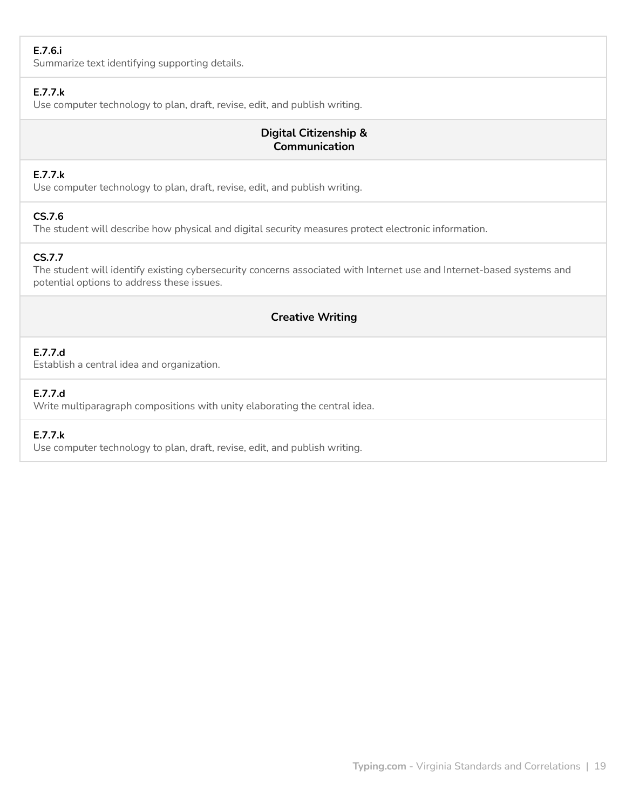## **E.7.6.i**

Summarize text identifying supporting details.

## **E.7.7.k**

Use computer technology to plan, draft, revise, edit, and publish writing.

## **Digital Citizenship & Communication**

## **E.7.7.k**

Use computer technology to plan, draft, revise, edit, and publish writing.

## **CS.7.6**

The student will describe how physical and digital security measures protect electronic information.

## **CS.7.7**

The student will identify existing cybersecurity concerns associated with Internet use and Internet-based systems and potential options to address these issues.

## **Creative Writing**

## **E.7.7.d**

Establish a central idea and organization.

## **E.7.7.d**

Write multiparagraph compositions with unity elaborating the central idea.

## **E.7.7.k**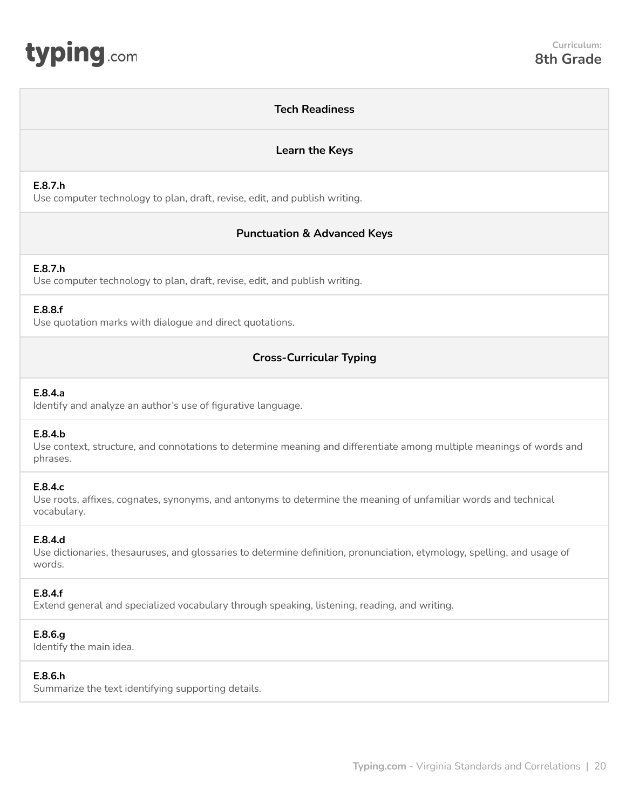<span id="page-19-0"></span>

#### **Tech Readiness**

#### **Learn the Keys**

#### **E.8.7.h**

Use computer technology to plan, draft, revise, edit, and publish writing.

## **Punctuation & Advanced Keys**

## **E.8.7.h**

Use computer technology to plan, draft, revise, edit, and publish writing.

#### **E.8.8.f**

Use quotation marks with dialogue and direct quotations.

## **Cross-Curricular Typing**

### **E.8.4.a**

Identify and analyze an author's use of figurative language.

#### **E.8.4.b**

Use context, structure, and connotations to determine meaning and differentiate among multiple meanings of words and phrases.

#### **E.8.4.c**

Use roots, affixes, cognates, synonyms, and antonyms to determine the meaning of unfamiliar words and technical vocabulary.

#### **E.8.4.d**

Use dictionaries, thesauruses, and glossaries to determine definition, pronunciation, etymology, spelling, and usage of words.

## **E.8.4.f**

Extend general and specialized vocabulary through speaking, listening, reading, and writing.

#### **E.8.6.g**

Identify the main idea.

## **E.8.6.h**

Summarize the text identifying supporting details.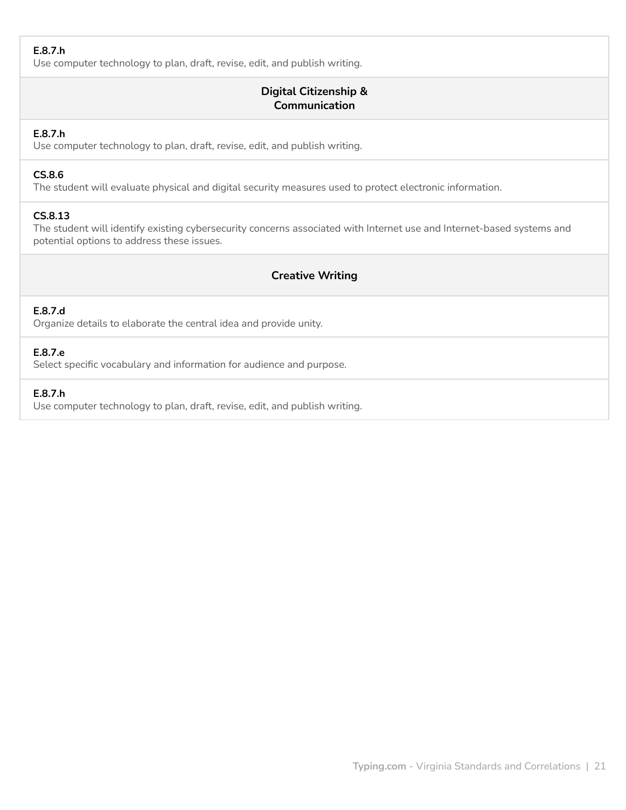## **E.8.7.h**

Use computer technology to plan, draft, revise, edit, and publish writing.

## **Digital Citizenship & Communication**

#### **E.8.7.h**

Use computer technology to plan, draft, revise, edit, and publish writing.

#### **CS.8.6**

The student will evaluate physical and digital security measures used to protect electronic information.

## **CS.8.13**

The student will identify existing cybersecurity concerns associated with Internet use and Internet-based systems and potential options to address these issues.

## **Creative Writing**

## **E.8.7.d**

Organize details to elaborate the central idea and provide unity.

## **E.8.7.e**

Select specific vocabulary and information for audience and purpose.

## **E.8.7.h**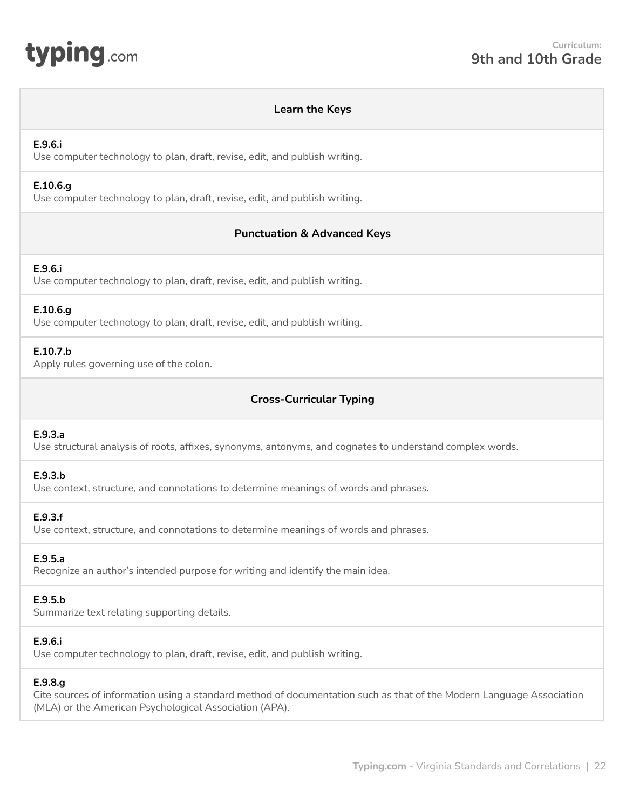<span id="page-21-0"></span>

#### **Learn the Keys**

#### **E.9.6.i**

Use computer technology to plan, draft, revise, edit, and publish writing.

#### **E.10.6.g**

Use computer technology to plan, draft, revise, edit, and publish writing.

## **Punctuation & Advanced Keys**

#### **E.9.6.i**

Use computer technology to plan, draft, revise, edit, and publish writing.

#### **E.10.6.g**

Use computer technology to plan, draft, revise, edit, and publish writing.

## **E.10.7.b**

Apply rules governing use of the colon.

## **Cross-Curricular Typing**

#### **E.9.3.a**

Use structural analysis of roots, affixes, synonyms, antonyms, and cognates to understand complex words.

#### **E.9.3.b**

Use context, structure, and connotations to determine meanings of words and phrases.

#### **E.9.3.f**

Use context, structure, and connotations to determine meanings of words and phrases.

#### **E.9.5.a**

Recognize an author's intended purpose for writing and identify the main idea.

#### **E.9.5.b**

Summarize text relating supporting details.

#### **E.9.6.i**

Use computer technology to plan, draft, revise, edit, and publish writing.

#### **E.9.8.g**

Cite sources of information using a standard method of documentation such as that of the Modern Language Association (MLA) or the American Psychological Association (APA).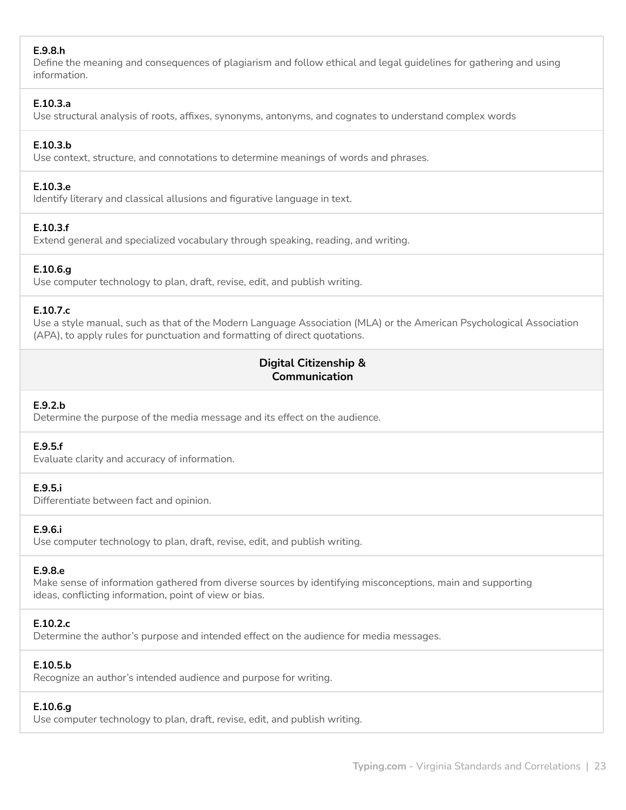## **E.9.8.h**

Define the meaning and consequences of plagiarism and follow ethical and legal guidelines for gathering and using information.

#### **E.10.3.a**

Use structural analysis of roots, affixes, synonyms, antonyms, and cognates to understand complex words

## **E.10.3.b**

Use context, structure, and connotations to determine meanings of words and phrases.

## **E.10.3.e**

Identify literary and classical allusions and figurative language in text.

## **E.10.3.f**

Extend general and specialized vocabulary through speaking, reading, and writing.

## **E.10.6.g**

Use computer technology to plan, draft, revise, edit, and publish writing.

## **E.10.7.c**

Use a style manual, such as that of the Modern Language Association (MLA) or the American Psychological Association (APA), to apply rules for punctuation and formatting of direct quotations.

## **Digital Citizenship & Communication**

#### **E.9.2.b**

Determine the purpose of the media message and its effect on the audience.

#### **E.9.5.f**

Evaluate clarity and accuracy of information.

#### **E.9.5.i**

Differentiate between fact and opinion.

## **E.9.6.i**

Use computer technology to plan, draft, revise, edit, and publish writing.

#### **E.9.8.e**

Make sense of information gathered from diverse sources by identifying misconceptions, main and supporting ideas, conflicting information, point of view or bias.

## **E.10.2.c**

Determine the author's purpose and intended effect on the audience for media messages.

## **E.10.5.b**

Recognize an author's intended audience and purpose for writing.

## **E.10.6.g**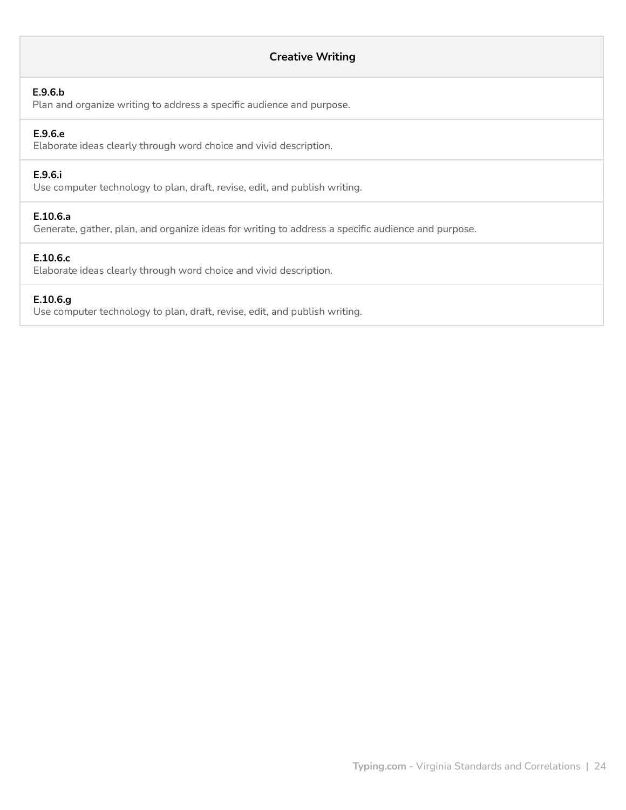## **Creative Writing**

#### **E.9.6.b**

Plan and organize writing to address a specific audience and purpose.

## **E.9.6.e**

Elaborate ideas clearly through word choice and vivid description.

## **E.9.6.i**

Use computer technology to plan, draft, revise, edit, and publish writing.

## **E.10.6.a**

Generate, gather, plan, and organize ideas for writing to address a specific audience and purpose.

#### **E.10.6.c**

Elaborate ideas clearly through word choice and vivid description.

#### **E.10.6.g**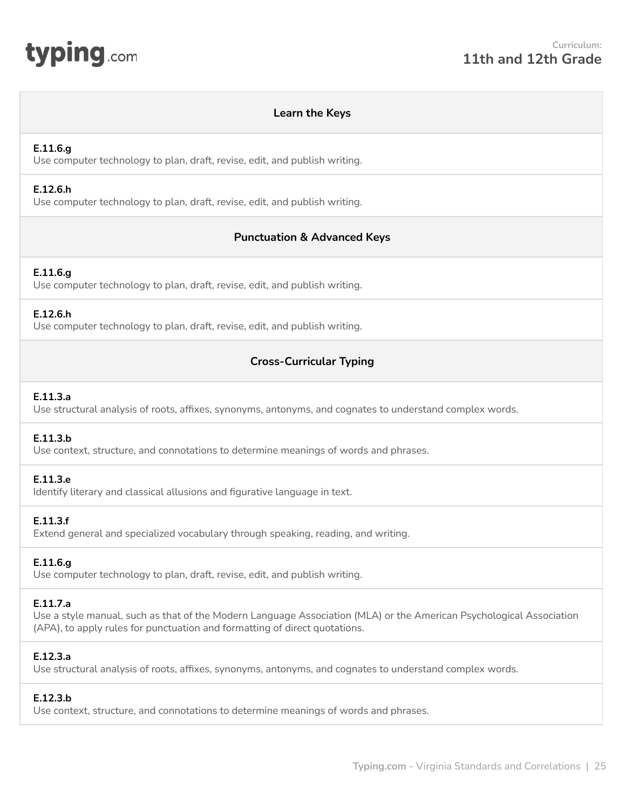<span id="page-24-0"></span>

#### **Learn the Keys**

#### **E.11.6.g**

Use computer technology to plan, draft, revise, edit, and publish writing.

#### **E.12.6.h**

Use computer technology to plan, draft, revise, edit, and publish writing.

## **Punctuation & Advanced Keys**

## **E.11.6.g**

Use computer technology to plan, draft, revise, edit, and publish writing.

#### **E.12.6.h**

Use computer technology to plan, draft, revise, edit, and publish writing.

## **Cross-Curricular Typing**

## **E.11.3.a**

Use structural analysis of roots, affixes, synonyms, antonyms, and cognates to understand complex words.

#### **E.11.3.b**

Use context, structure, and connotations to determine meanings of words and phrases.

#### **E.11.3.e**

Identify literary and classical allusions and figurative language in text.

#### **E.11.3.f**

Extend general and specialized vocabulary through speaking, reading, and writing.

## **E.11.6.g**

Use computer technology to plan, draft, revise, edit, and publish writing.

#### **E.11.7.a**

Use a style manual, such as that of the Modern Language Association (MLA) or the American Psychological Association (APA), to apply rules for punctuation and formatting of direct quotations.

#### **E.12.3.a**

Use structural analysis of roots, affixes, synonyms, antonyms, and cognates to understand complex words.

#### **E.12.3.b**

Use context, structure, and connotations to determine meanings of words and phrases.